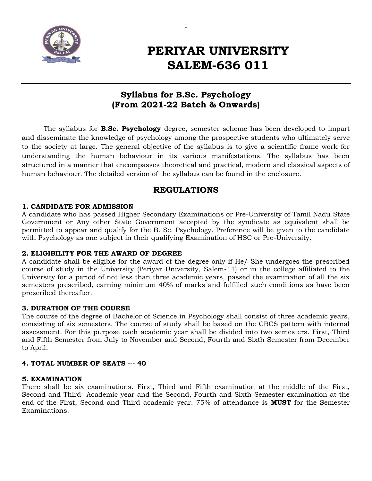

# **PERIYAR UNIVERSITY SALEM-636 011**

## **Syllabus for B.Sc. Psychology (From 2021-22 Batch & Onwards)**

The syllabus for **B.Sc. Psychology** degree, semester scheme has been developed to impart and disseminate the knowledge of psychology among the prospective students who ultimately serve to the society at large. The general objective of the syllabus is to give a scientific frame work for understanding the human behaviour in its various manifestations. The syllabus has been structured in a manner that encompasses theoretical and practical, modern and classical aspects of human behaviour. The detailed version of the syllabus can be found in the enclosure.

## **REGULATIONS**

## **1. CANDIDATE FOR ADMISSION**

A candidate who has passed Higher Secondary Examinations or Pre-University of Tamil Nadu State Government or Any other State Government accepted by the syndicate as equivalent shall be permitted to appear and qualify for the B. Sc. Psychology. Preference will be given to the candidate with Psychology as one subject in their qualifying Examination of HSC or Pre-University.

## **2. ELIGIBILITY FOR THE AWARD OF DEGREE**

A candidate shall be eligible for the award of the degree only if He/ She undergoes the prescribed course of study in the University (Periyar University, Salem-11) or in the college affiliated to the University for a period of not less than three academic years, passed the examination of all the six semesters prescribed, earning minimum 40% of marks and fulfilled such conditions as have been prescribed thereafter.

## **3. DURATION OF THE COURSE**

The course of the degree of Bachelor of Science in Psychology shall consist of three academic years, consisting of six semesters. The course of study shall be based on the CBCS pattern with internal assessment. For this purpose each academic year shall be divided into two semesters. First, Third and Fifth Semester from July to November and Second, Fourth and Sixth Semester from December to April.

## **4. TOTAL NUMBER OF SEATS --- 40**

## **5. EXAMINATION**

There shall be six examinations. First, Third and Fifth examination at the middle of the First, Second and Third Academic year and the Second, Fourth and Sixth Semester examination at the end of the First, Second and Third academic year. 75% of attendance is **MUST** for the Semester Examinations.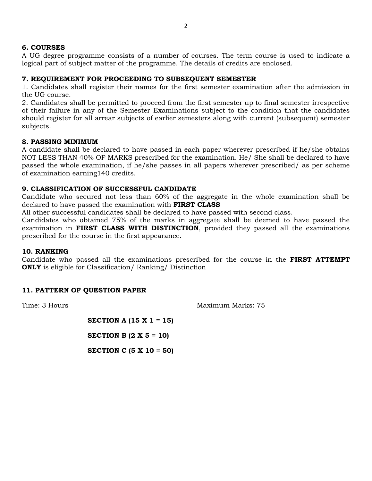## **6. COURSES**

A UG degree programme consists of a number of courses. The term course is used to indicate a logical part of subject matter of the programme. The details of credits are enclosed.

## **7. REQUIREMENT FOR PROCEEDING TO SUBSEQUENT SEMESTER**

1. Candidates shall register their names for the first semester examination after the admission in the UG course.

2. Candidates shall be permitted to proceed from the first semester up to final semester irrespective of their failure in any of the Semester Examinations subject to the condition that the candidates should register for all arrear subjects of earlier semesters along with current (subsequent) semester subjects.

## **8. PASSING MINIMUM**

A candidate shall be declared to have passed in each paper wherever prescribed if he/she obtains NOT LESS THAN 40% OF MARKS prescribed for the examination. He/ She shall be declared to have passed the whole examination, if he/she passes in all papers wherever prescribed/ as per scheme of examination earning140 credits.

## **9. CLASSIFICATION OF SUCCESSFUL CANDIDATE**

Candidate who secured not less than 60% of the aggregate in the whole examination shall be declared to have passed the examination with **FIRST CLASS**

All other successful candidates shall be declared to have passed with second class.

Candidates who obtained 75% of the marks in aggregate shall be deemed to have passed the examination in **FIRST CLASS WITH DISTINCTION**, provided they passed all the examinations prescribed for the course in the first appearance.

#### **10. RANKING**

Candidate who passed all the examinations prescribed for the course in the **FIRST ATTEMPT ONLY** is eligible for Classification/ Ranking/ Distinction

## **11. PATTERN OF QUESTION PAPER**

Time: 3 Hours **Maximum Marks: 75** Maximum Marks: 75

**SECTION A (15 X 1 = 15)**

**SECTION B (2 X 5 = 10)**

**SECTION C (5 X 10 = 50)**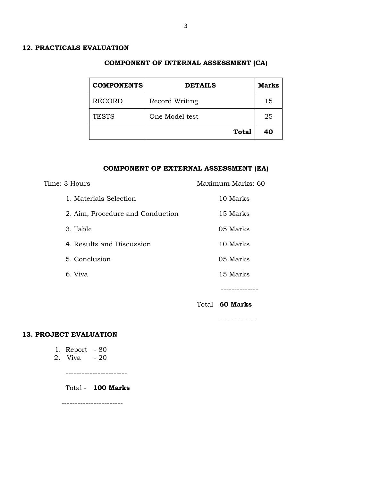#### **COMPONENT OF INTERNAL ASSESSMENT (CA)**

| <b>COMPONENTS</b> | <b>DETAILS</b> | <b>Marks</b> |
|-------------------|----------------|--------------|
| <b>RECORD</b>     | Record Writing | 15           |
| <b>TESTS</b>      | One Model test | 25           |
|                   | <b>Total</b>   | 40           |

#### **COMPONENT OF EXTERNAL ASSESSMENT (EA)**

--------------

| Time: 3 Hours                    | Maximum Marks: 60     |
|----------------------------------|-----------------------|
| 1. Materials Selection           | 10 Marks              |
| 2. Aim, Procedure and Conduction | 15 Marks              |
| 3. Table                         | 05 Marks              |
| 4. Results and Discussion        | 10 Marks              |
| 5. Conclusion                    | 05 Marks              |
| 6. Viva                          | 15 Marks              |
|                                  |                       |
|                                  | Total <b>60 Marks</b> |

#### **13. PROJECT EVALUATION**

- 1. Report 80
- 2. Viva 20

-----------------------

Total - **100 Marks**

-----------------------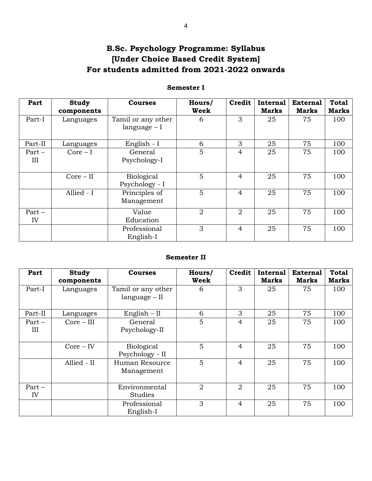## **B.Sc. Psychology Programme: Syllabus [Under Choice Based Credit System] For students admitted from 2021-2022 onwards**

## **Semester I**

| Part            | <b>Study</b>            | <b>Courses</b>                      | Hours/<br><b>Week</b> | <b>Credit</b>  | <b>Internal</b><br><b>Marks</b> | <b>External</b><br><b>Marks</b> | <b>Total</b><br><b>Marks</b> |
|-----------------|-------------------------|-------------------------------------|-----------------------|----------------|---------------------------------|---------------------------------|------------------------------|
| Part-I          | components<br>Languages | Tamil or any other<br>$language-I$  | 6                     | 3              | 25                              | 75                              | 100                          |
| Part-II         | Languages               | English - I                         | 6                     | 3              | 25                              | 75                              | 100                          |
| $Part -$<br>III | $Core-I$                | General<br>Psychology-I             | 5                     | $\overline{4}$ | 25                              | 75                              | 100                          |
|                 | $Core - II$             | <b>Biological</b><br>Psychology - I | 5                     | $\overline{4}$ | 25                              | 75                              | 100                          |
|                 | Allied - I              | Principles of<br>Management         | 5                     | $\overline{4}$ | 25                              | 75                              | 100                          |
| $Part -$<br>IV  |                         | Value<br>Education                  | $\overline{2}$        | $\overline{2}$ | 25                              | 75                              | 100                          |
|                 |                         | Professional<br>English-I           | 3                     | $\overline{4}$ | 25                              | 75                              | 100                          |

## **Semester II**

| Part            | <b>Study</b><br>components | <b>Courses</b>                        | Hours/<br>Week | Credit         | <b>Internal</b><br><b>Marks</b> | <b>External</b><br><b>Marks</b> | <b>Total</b><br><b>Marks</b> |
|-----------------|----------------------------|---------------------------------------|----------------|----------------|---------------------------------|---------------------------------|------------------------------|
| Part-I          | Languages                  | Tamil or any other<br>$language - II$ | 6              | 3              | 25                              | 75                              | 100                          |
| Part-II         | Languages                  | $English - II$                        | 6              | 3              | 25                              | 75                              | 100                          |
| $Part -$<br>III | $Core - III$               | General<br>Psychology-II              | 5              | $\overline{4}$ | 25                              | 75                              | 100                          |
|                 | $Core - IV$                | <b>Biological</b><br>Psychology - II  | 5              | $\overline{4}$ | 25                              | 75                              | 100                          |
|                 | Allied - II                | Human Resource<br>Management          | 5              | $\overline{4}$ | 25                              | 75                              | 100                          |
| $Part -$<br>IV  |                            | Environmental<br>Studies              | $\overline{2}$ | 2              | 25                              | 75                              | 100                          |
|                 |                            | Professional<br>English-I             | 3              | $\overline{4}$ | 25                              | 75                              | 100                          |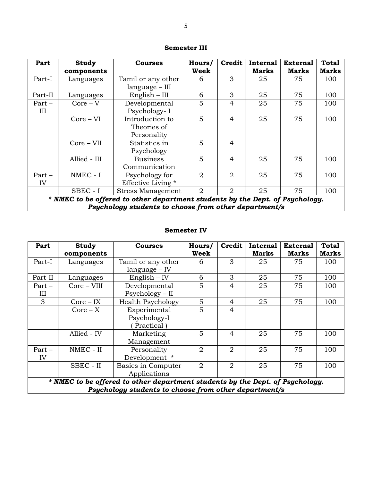| Part                                                  | <b>Study</b>                                                                  | <b>Courses</b>           | Hours/         | Credit         | <b>Internal</b> | <b>External</b> | <b>Total</b> |
|-------------------------------------------------------|-------------------------------------------------------------------------------|--------------------------|----------------|----------------|-----------------|-----------------|--------------|
|                                                       | components                                                                    |                          | <b>Week</b>    |                | <b>Marks</b>    | <b>Marks</b>    | <b>Marks</b> |
| Part-I                                                | Languages                                                                     | Tamil or any other       | 6              | 3              | 25              | 75              | 100          |
|                                                       |                                                                               | language – III           |                |                |                 |                 |              |
| Part-II                                               | Languages                                                                     | $English - III$          | 6              | 3              | 25              | 75              | 100          |
| $Part -$                                              | $Core - V$                                                                    | Developmental            | 5              | $\overline{4}$ | 25              | 75              | 100          |
| III                                                   |                                                                               | Psychology-I             |                |                |                 |                 |              |
|                                                       | $Core - VI$                                                                   | Introduction to          | 5              | $\overline{4}$ | 25              | 75              | 100          |
|                                                       |                                                                               | Theories of              |                |                |                 |                 |              |
|                                                       |                                                                               | Personality              |                |                |                 |                 |              |
|                                                       | $Core - VII$                                                                  | Statistics in            | 5              | 4              |                 |                 |              |
|                                                       |                                                                               | Psychology               |                |                |                 |                 |              |
|                                                       | Allied - III                                                                  | <b>Business</b>          | 5              | $\overline{4}$ | 25              | 75              | 100          |
|                                                       |                                                                               | Communication            |                |                |                 |                 |              |
| $Part -$                                              | NMEC - I                                                                      | Psychology for           | $\overline{2}$ | 2              | 25              | 75              | 100          |
| IV                                                    |                                                                               | Effective Living *       |                |                |                 |                 |              |
|                                                       | SBEC - I                                                                      | <b>Stress Management</b> | $\overline{2}$ | 2              | 25              | 75              | 100          |
|                                                       | * NMEC to be offered to other department students by the Dept. of Psychology. |                          |                |                |                 |                 |              |
| Psychology students to choose from other department/s |                                                                               |                          |                |                |                 |                 |              |

## **Semester III**

#### **Semester IV**

| Part    | <b>Study</b>                                                                  | <b>Courses</b>           | Hours/         | <b>Credit</b>  | Internal<br><b>Marks</b> | <b>External</b> | <b>Total</b> |  |
|---------|-------------------------------------------------------------------------------|--------------------------|----------------|----------------|--------------------------|-----------------|--------------|--|
|         | components                                                                    |                          | Week           |                |                          | <b>Marks</b>    | <b>Marks</b> |  |
| Part-I  | Languages                                                                     | Tamil or any other       | 6              | 3              | 25                       | 75              | 100          |  |
|         |                                                                               | $language - IV$          |                |                |                          |                 |              |  |
| Part-II | Languages                                                                     | $English - IV$           | 6              | 3              | 25                       | 75              | 100          |  |
| Part –  | Core - VIII                                                                   | Developmental            | 5              | 4              | 25                       | 75              | 100          |  |
| Ш       |                                                                               | $Psychology - II$        |                |                |                          |                 |              |  |
| 3       | $Core - IX$                                                                   | <b>Health Psychology</b> | 5              | 4              | 25                       | 75              | 100          |  |
|         | $Core - X$                                                                    | Experimental             | 5              | 4              |                          |                 |              |  |
|         |                                                                               | Psychology-I             |                |                |                          |                 |              |  |
|         |                                                                               | Practical                |                |                |                          |                 |              |  |
|         | Allied - IV                                                                   | Marketing                | 5              | 4              | 25                       | 75              | 100          |  |
|         |                                                                               | Management               |                |                |                          |                 |              |  |
| Part –  | NMEC - II                                                                     | Personality              | 2              | 2              | 25                       | 75              | 100          |  |
| IV      |                                                                               | Development *            |                |                |                          |                 |              |  |
|         | SBEC - II                                                                     | Basics in Computer       | $\overline{2}$ | $\overline{2}$ | 25                       | 75              | 100          |  |
|         |                                                                               | Applications             |                |                |                          |                 |              |  |
|         | * NMEC to be offered to other department students by the Dept. of Psychology. |                          |                |                |                          |                 |              |  |
|         | Psychology students to choose from other department/s                         |                          |                |                |                          |                 |              |  |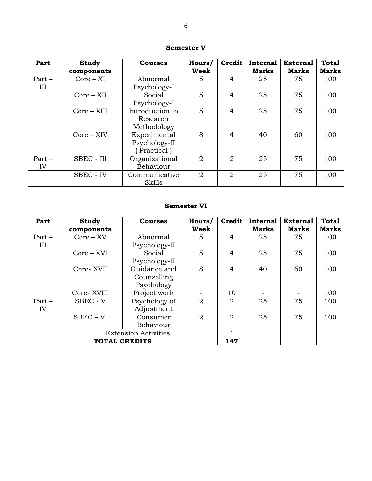## **Semester V**

| Part           | <b>Study</b><br>components | <b>Courses</b>                              | Hours/<br>Week | <b>Credit</b>  | Internal<br><b>Marks</b> | <b>External</b><br><b>Marks</b> | <b>Total</b><br>Marks |
|----------------|----------------------------|---------------------------------------------|----------------|----------------|--------------------------|---------------------------------|-----------------------|
| $Part -$<br>Ш  | $Core - XI$                | Abnormal<br>Psychology-I                    | 5              | 4              | 25                       | 75                              | 100                   |
|                | $Core - XII$               | Social<br>Psychology-I                      | 5              | 4              | 25                       | 75                              | 100                   |
|                | $Core - XIII$              | Introduction to<br>Research<br>Methodology  | 5              | 4              | 25                       | 75                              | 100                   |
|                | $Core - XIV$               | Experimental<br>Psychology-II<br>Practical) | 8              | 4              | 40                       | 60                              | 100                   |
| $Part -$<br>IV | SBEC - III                 | Organizational<br>Behaviour                 | 2              | 2              | 25                       | 75                              | 100                   |
|                | SBEC - IV                  | Communicative<br>Skills                     | $\overline{2}$ | $\overline{2}$ | 25                       | 75                              | 100                   |

## **Semester VI**

| Part                        | Study        | <b>Courses</b> | Hours/         | <b>Credit</b> | <b>Internal</b> | <b>External</b> | <b>Total</b> |
|-----------------------------|--------------|----------------|----------------|---------------|-----------------|-----------------|--------------|
|                             | components   |                | <b>Week</b>    |               | <b>Marks</b>    | <b>Marks</b>    | <b>Marks</b> |
| $Part -$                    | $Core - XV$  | Abnormal       | 5.             | 4             | 25              | 75              | 100          |
| Ш                           |              | Psychology-II  |                |               |                 |                 |              |
|                             | $Core - XVI$ | Social         | 5              | 4             | 25              | 75              | 100          |
|                             |              | Psychology-II  |                |               |                 |                 |              |
|                             | Core-XVII    | Guidance and   | 8              | 4             | 40              | 60              | 100          |
|                             |              | Counselling    |                |               |                 |                 |              |
|                             |              | Psychology     |                |               |                 |                 |              |
|                             | Core-XVIII   | Project work   |                | 10            |                 |                 | 100          |
| $Part -$                    | SBEC - V     | Psychology of  | 2              | 2             | 25              | 75              | 100          |
| IV                          |              | Adjustment     |                |               |                 |                 |              |
|                             | $SBEC - VI$  | Consumer       | $\overline{2}$ | 2             | 25              | 75              | 100          |
|                             |              | Behaviour      |                |               |                 |                 |              |
| <b>Extension Activities</b> |              |                |                |               |                 |                 |              |
| <b>TOTAL CREDITS</b>        |              |                |                | 147           |                 |                 |              |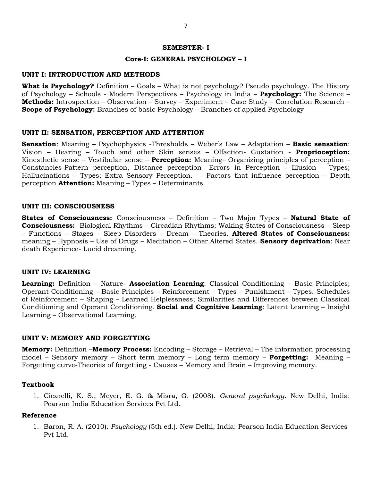#### **SEMESTER- I**

#### **Core-I: GENERAL PSYCHOLOGY – I**

#### **UNIT I: INTRODUCTION AND METHODS**

**What is Psychology?** Definition – Goals – What is not psychology? Pseudo psychology. The History of Psychology – Schools - Modern Perspectives – Psychology in India – **Psychology:** The Science – **Methods:** Introspection – Observation – Survey – Experiment – Case Study – Correlation Research – **Scope of Psychology:** Branches of basic Psychology – Branches of applied Psychology

#### **UNIT II: SENSATION, PERCEPTION AND ATTENTION**

**Sensation**: Meaning **–** Psychophysics -Thresholds – Weber"s Law – Adaptation – **Basic sensation**: Vision – Hearing – Touch and other Skin senses – Olfaction- Gustation - **Proprioception:**  Kinesthetic sense – Vestibular sense – **Perception:** Meaning– Organizing principles of perception – Constancies-Pattern perception, Distance perception- Errors in Perception - Illusion – Types; Hallucinations – Types; Extra Sensory Perception. - Factors that influence perception – Depth perception **Attention:** Meaning – Types – Determinants.

#### **UNIT III: CONSCIOUSNESS**

**States of Consciousness:** Consciousness – Definition – Two Major Types – **Natural State of Consciousness:** Biological Rhythms – Circadian Rhythms; Waking States of Consciousness – Sleep – Functions – Stages – Sleep Disorders – Dream – Theories. **Altered States of Consciousness:**  meaning – Hypnosis – Use of Drugs – Meditation – Other Altered States. **Sensory deprivation**: Near death Experience- Lucid dreaming.

#### **UNIT IV: LEARNING**

**Learning:** Definition – Nature- **Association Learning**: Classical Conditioning – Basic Principles; Operant Conditioning – Basic Principles – Reinforcement – Types – Punishment – Types. Schedules of Reinforcement – Shaping – Learned Helplessness; Similarities and Differences between Classical Conditioning and Operant Conditioning. **Social and Cognitive Learning**: Latent Learning – Insight Learning – Observational Learning.

#### **UNIT V: MEMORY AND FORGETTING**

**Memory:** Definition –**Memory Process:** Encoding – Storage – Retrieval – The information processing model – Sensory memory – Short term memory – Long term memory – **Forgetting:** Meaning – Forgetting curve-Theories of forgetting - Causes – Memory and Brain – Improving memory.

#### **Textbook**

1. Cicarelli, K. S., Meyer, E. G. & Misra, G. (2008). *General psychology*. New Delhi, India: Pearson India Education Services Pvt Ltd.

#### **Reference**

1. Baron, R. A. (2010). *Psychology* (5th ed.). New Delhi, India: Pearson India Education Services Pvt Ltd.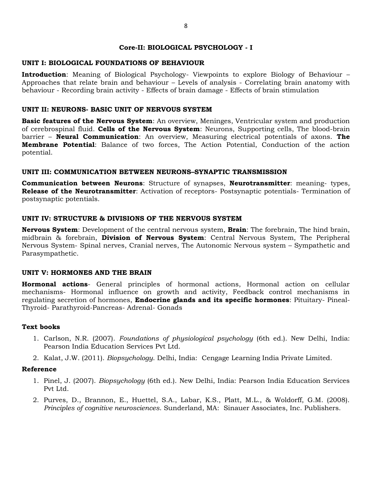#### **Core-II: BIOLOGICAL PSYCHOLOGY - I**

## **UNIT I: BIOLOGICAL FOUNDATIONS OF BEHAVIOUR**

**Introduction**: Meaning of Biological Psychology- Viewpoints to explore Biology of Behaviour – Approaches that relate brain and behaviour – Levels of analysis - Correlating brain anatomy with behaviour - Recording brain activity - Effects of brain damage - Effects of brain stimulation

## **UNIT II: NEURONS- BASIC UNIT OF NERVOUS SYSTEM**

**Basic features of the Nervous System**: An overview, Meninges, Ventricular system and production of cerebrospinal fluid. **Cells of the Nervous System**: Neurons, Supporting cells, The blood-brain barrier – **Neural Communication**: An overview, Measuring electrical potentials of axons. **The Membrane Potential**: Balance of two forces, The Action Potential, Conduction of the action potential.

## **UNIT III: COMMUNICATION BETWEEN NEURONS–SYNAPTIC TRANSMISSION**

**Communication between Neurons**: Structure of synapses, **Neurotransmitter**: meaning- types, **Release of the Neurotransmitter**: Activation of receptors- Postsynaptic potentials- Termination of postsynaptic potentials.

## **UNIT IV: STRUCTURE & DIVISIONS OF THE NERVOUS SYSTEM**

**Nervous System**: Development of the central nervous system, **Brain**: The forebrain, The hind brain, midbrain & forebrain, **Division of Nervous System**: Central Nervous System, The Peripheral Nervous System- Spinal nerves, Cranial nerves, The Autonomic Nervous system – Sympathetic and Parasympathetic.

#### **UNIT V: HORMONES AND THE BRAIN**

**Hormonal actions**- General principles of hormonal actions, Hormonal action on cellular mechanisms- Hormonal influence on growth and activity, Feedback control mechanisms in regulating secretion of hormones, **Endocrine glands and its specific hormones**: Pituitary- Pineal-Thyroid- Parathyroid-Pancreas- Adrenal- Gonads

#### **Text books**

- 1. Carlson, N.R. (2007). *Foundations of physiological psychology* (6th ed.). New Delhi, India: Pearson India Education Services Pvt Ltd.
- 2. Kalat, J.W. (2011). *Biopsychology*. Delhi, India: Cengage Learning India Private Limited.

- 1. Pinel, J. (2007). *Biopsychology* (6th ed.). New Delhi, India: Pearson India Education Services Pvt Ltd.
- 2. Purves, D., Brannon, E., Huettel, S.A., Labar, K.S., Platt, M.L., & Woldorff, G.M. (2008). *Principles of cognitive neurosciences*. Sunderland, MA: Sinauer Associates, Inc. Publishers.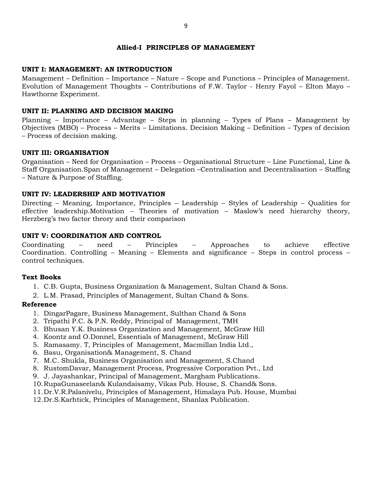#### **Allied-I PRINCIPLES OF MANAGEMENT**

## **UNIT I: MANAGEMENT: AN INTRODUCTION**

Management – Definition – Importance – Nature – Scope and Functions – Principles of Management. Evolution of Management Thoughts – Contributions of F.W. Taylor - Henry Fayol – Elton Mayo – Hawthorne Experiment.

## **UNIT II: PLANNING AND DECISION MAKING**

Planning – Importance – Advantage – Steps in planning – Types of Plans – Management by Objectives (MBO) – Process – Merits – Limitations. Decision Making – Definition – Types of decision – Process of decision making.

#### **UNIT III: ORGANISATION**

Organisation – Need for Organisation – Process – Organisational Structure – Line Functional, Line & Staff Organisation.Span of Management – Delegation –Centralisation and Decentralisation – Staffing – Nature & Purpose of Staffing.

## **UNIT IV: LEADERSHIP AND MOTIVATION**

Directing – Meaning, Importance, Principles – Leadership – Styles of Leadership – Qualities for effective leadership.Motivation – Theories of motivation – Maslow's need hierarchy theory, Herzberg"s two factor theory and their comparison

## **UNIT V: COORDINATION AND CONTROL**

Coordinating – need – Principles – Approaches to achieve effective Coordination. Controlling – Meaning – Elements and significance – Steps in control process – control techniques.

#### **Text Books**

- 1. C.B. Gupta, Business Organization & Management, Sultan Chand & Sons.
- 2. L.M. Prasad, Principles of Management, Sultan Chand & Sons.

- 1. DingarPagare, Business Management, Sulthan Chand & Sons
- 2. Tripathi P.C. & P.N. Reddy, Principal of Management, TMH
- 3. Bhusan Y.K. Business Organization and Management, McGraw Hill
- 4. Koontz and O.Donnel, Essentials of Management, McGraw Hill
- 5. Ramasamy. T, Principles of Management, Macmillan India Ltd.,
- 6. Basu, Organisation& Management, S. Chand
- 7. M.C. Shukla, Business Organisation and Management, S.Chand
- 8. RustomDavar, Management Process, Progressive Corporation Pvt., Ltd
- 9. J. Jayashankar, Principal of Management, Margham Publications.
- 10.RupaGunaseelan& Kulandaisamy, Vikas Pub. House, S. Chand& Sons.
- 11.Dr.V.R.Palanivelu, Principles of Management, Himalaya Pub. House, Mumbai
- 12.Dr.S.Karhtick, Principles of Management, Shanlax Publication.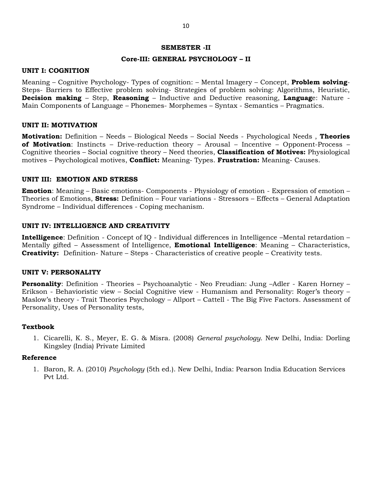#### **SEMESTER -II**

#### **Core-III: GENERAL PSYCHOLOGY – II**

#### **UNIT I: COGNITION**

Meaning – Cognitive Psychology- Types of cognition: – Mental Imagery – Concept, **Problem solving**-Steps- Barriers to Effective problem solving- Strategies of problem solving: Algorithms, Heuristic, **Decision making** – Step, **Reasoning** – Inductive and Deductive reasoning, **Languag**e: Nature - Main Components of Language – Phonemes- Morphemes – Syntax - Semantics – Pragmatics.

#### **UNIT II: MOTIVATION**

**Motivation:** Definition – Needs – Biological Needs – Social Needs - Psychological Needs , **Theories of Motivation**: Instincts – Drive-reduction theory – Arousal – Incentive – Opponent-Process – Cognitive theories – Social cognitive theory – Need theories, **Classification of Motives:** Physiological motives – Psychological motives, **Conflict:** Meaning- Types. **Frustration:** Meaning- Causes.

#### **UNIT III: EMOTION AND STRESS**

**Emotion**: Meaning – Basic emotions- Components - Physiology of emotion - Expression of emotion – Theories of Emotions, **Stress:** Definition – Four variations - Stressors – Effects – General Adaptation Syndrome – Individual differences - Coping mechanism.

#### **UNIT IV: INTELLIGENCE AND CREATIVITY**

**Intelligence**: Definition - Concept of IQ - Individual differences in Intelligence –Mental retardation – Mentally gifted – Assessment of Intelligence, **Emotional Intelligence**: Meaning – Characteristics, **Creativity:** Definition- Nature – Steps - Characteristics of creative people – Creativity tests.

#### **UNIT V: PERSONALITY**

**Personality**: Definition - Theories – Psychoanalytic - Neo Freudian: Jung –Adler - Karen Horney – Erikson - Behavioristic view - Social Cognitive view - Humanism and Personality: Roger's theory -Maslow"s theory - Trait Theories Psychology – Allport – Cattell - The Big Five Factors. Assessment of Personality, Uses of Personality tests,

#### **Textbook**

1. Cicarelli, K. S., Meyer, E. G. & Misra. (2008) *General psychology*. New Delhi, India: Dorling Kingsley (India) Private Limited

#### **Reference**

1. Baron, R. A. (2010) *Psychology* (5th ed.). New Delhi, India: Pearson India Education Services Pvt Ltd.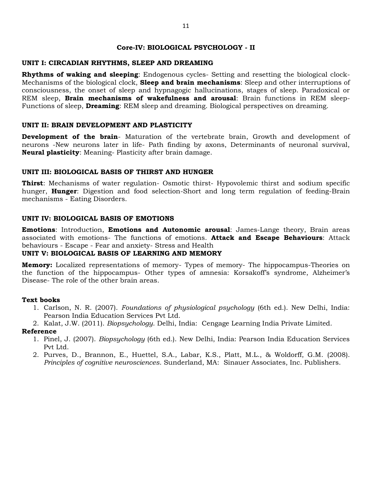#### **Core-IV: BIOLOGICAL PSYCHOLOGY - II**

#### **UNIT I: CIRCADIAN RHYTHMS, SLEEP AND DREAMING**

**Rhythms of waking and sleeping**: Endogenous cycles- Setting and resetting the biological clock-Mechanisms of the biological clock, **Sleep and brain mechanisms**: Sleep and other interruptions of consciousness, the onset of sleep and hypnagogic hallucinations, stages of sleep. Paradoxical or REM sleep, **Brain mechanisms of wakefulness and arousal**: Brain functions in REM sleep-Functions of sleep, **Dreaming**: REM sleep and dreaming. Biological perspectives on dreaming.

## **UNIT II: BRAIN DEVELOPMENT AND PLASTICITY**

**Development of the brain**- Maturation of the vertebrate brain, Growth and development of neurons -New neurons later in life- Path finding by axons, Determinants of neuronal survival, **Neural plasticity**: Meaning- Plasticity after brain damage.

## **UNIT III: BIOLOGICAL BASIS OF THIRST AND HUNGER**

**Thirst**: Mechanisms of water regulation- Osmotic thirst- Hypovolemic thirst and sodium specific hunger, **Hunger**: Digestion and food selection-Short and long term regulation of feeding-Brain mechanisms - Eating Disorders.

## **UNIT IV: BIOLOGICAL BASIS OF EMOTIONS**

**Emotions**: Introduction, **Emotions and Autonomic arousal**: James-Lange theory, Brain areas associated with emotions- The functions of emotions. **Attack and Escape Behaviours**: Attack behaviours - Escape - Fear and anxiety- Stress and Health

#### **UNIT V: BIOLOGICAL BASIS OF LEARNING AND MEMORY**

**Memory:** Localized representations of memory- Types of memory- The hippocampus-Theories on the function of the hippocampus- Other types of amnesia: Korsakoff's syndrome, Alzheimer's Disease- The role of the other brain areas.

#### **Text books**

- 1. Carlson, N. R. (2007). *Foundations of physiological psychology* (6th ed.). New Delhi, India: Pearson India Education Services Pvt Ltd.
- 2. Kalat, J.W. (2011). *Biopsychology*. Delhi, India: Cengage Learning India Private Limited.

- 1. Pinel, J. (2007). *Biopsychology* (6th ed.). New Delhi, India: Pearson India Education Services Pvt Ltd.
- 2. Purves, D., Brannon, E., Huettel, S.A., Labar, K.S., Platt, M.L., & Woldorff, G.M. (2008). *Principles of cognitive neurosciences*. Sunderland, MA: Sinauer Associates, Inc. Publishers.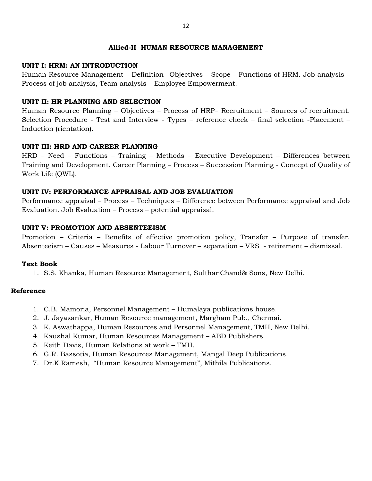#### **Allied-II HUMAN RESOURCE MANAGEMENT**

#### **UNIT I: HRM: AN INTRODUCTION**

Human Resource Management – Definition –Objectives – Scope – Functions of HRM. Job analysis – Process of job analysis, Team analysis – Employee Empowerment.

#### **UNIT II: HR PLANNING AND SELECTION**

Human Resource Planning – Objectives – Process of HRP– Recruitment – Sources of recruitment. Selection Procedure - Test and Interview - Types – reference check – final selection -Placement – Induction (rientation).

## **UNIT III: HRD AND CAREER PLANNING**

HRD – Need – Functions – Training – Methods – Executive Development – Differences between Training and Development. Career Planning – Process – Succession Planning - Concept of Quality of Work Life (QWL).

## **UNIT IV: PERFORMANCE APPRAISAL AND JOB EVALUATION**

Performance appraisal – Process – Techniques – Difference between Performance appraisal and Job Evaluation. Job Evaluation – Process – potential appraisal.

#### **UNIT V: PROMOTION AND ABSENTEEISM**

Promotion – Criteria – Benefits of effective promotion policy, Transfer – Purpose of transfer. Absenteeism – Causes – Measures - Labour Turnover – separation – VRS - retirement – dismissal.

#### **Text Book**

1. S.S. Khanka, Human Resource Management, SulthanChand& Sons, New Delhi.

- 1. C.B. Mamoria, Personnel Management Humalaya publications house.
- 2. J. Jayasankar, Human Resource management, Margham Pub., Chennai.
- 3. K. Aswathappa, Human Resources and Personnel Management, TMH, New Delhi.
- 4. Kaushal Kumar, Human Resources Management ABD Publishers.
- 5. Keith Davis, Human Relations at work TMH.
- 6. G.R. Bassotia, Human Resources Management, Mangal Deep Publications.
- 7. Dr.K.Ramesh, "Human Resource Management", Mithila Publications.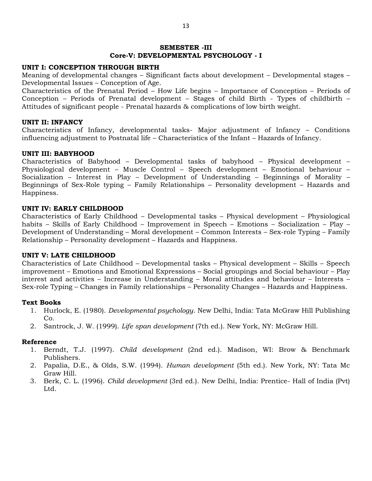#### **SEMESTER -III Core-V: DEVELOPMENTAL PSYCHOLOGY - I**

#### **UNIT I: CONCEPTION THROUGH BIRTH**

Meaning of developmental changes – Significant facts about development – Developmental stages – Developmental Issues – Conception of Age.

Characteristics of the Prenatal Period – How Life begins – Importance of Conception – Periods of Conception – Periods of Prenatal development – Stages of child Birth - Types of childbirth – Attitudes of significant people - Prenatal hazards & complications of low birth weight.

#### **UNIT II: INFANCY**

Characteristics of Infancy, developmental tasks- Major adjustment of Infancy – Conditions influencing adjustment to Postnatal life – Characteristics of the Infant – Hazards of Infancy.

#### **UNIT III: BABYHOOD**

Characteristics of Babyhood – Developmental tasks of babyhood – Physical development – Physiological development – Muscle Control – Speech development – Emotional behaviour – Socialization – Interest in Play – Development of Understanding – Beginnings of Morality – Beginnings of Sex-Role typing – Family Relationships – Personality development – Hazards and Happiness.

#### **UNIT IV: EARLY CHILDHOOD**

Characteristics of Early Childhood – Developmental tasks – Physical development – Physiological habits – Skills of Early Childhood – Improvement in Speech – Emotions – Socialization – Play – Development of Understanding – Moral development – Common Interests – Sex-role Typing – Family Relationship – Personality development – Hazards and Happiness.

#### **UNIT V: LATE CHILDHOOD**

Characteristics of Late Childhood – Developmental tasks – Physical development – Skills – Speech improvement – Emotions and Emotional Expressions – Social groupings and Social behaviour – Play interest and activities – Increase in Understanding – Moral attitudes and behaviour – Interests – Sex-role Typing – Changes in Family relationships – Personality Changes – Hazards and Happiness.

#### **Text Books**

- 1. Hurlock, E. (1980). *Developmental psychology*. New Delhi, India: Tata McGraw Hill Publishing Co.
- 2. Santrock, J. W. (1999). *Life span development* (7th ed.). New York, NY: McGraw Hill.

- 1. Berndt, T.J. (1997). *Child development* (2nd ed.). Madison, WI: Brow & Benchmark Publishers.
- 2. Papalia, D.E., & Olds, S.W. (1994). *Human development* (5th ed.). New York, NY: Tata Mc Graw Hill.
- 3. Berk, C. L. (1996). *Child development* (3rd ed.). New Delhi, India: Prentice- Hall of India (Pvt) Ltd.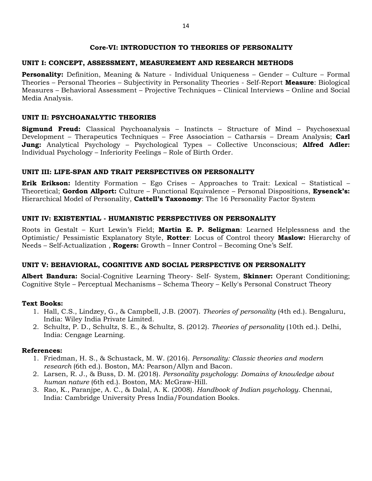## **Core-VI: INTRODUCTION TO THEORIES OF PERSONALITY**

## **UNIT I: CONCEPT, ASSESSMENT, MEASUREMENT AND RESEARCH METHODS**

**Personality:** Definition, Meaning & Nature - Individual Uniqueness – Gender – Culture – Formal Theories – Personal Theories – Subjectivity in Personality Theories - Self-Report **Measure**: Biological Measures – Behavioral Assessment – Projective Techniques – Clinical Interviews – Online and Social Media Analysis.

## **UNIT II: PSYCHOANALYTIC THEORIES**

**Sigmund Freud:** Classical Psychoanalysis – Instincts – Structure of Mind – Psychosexual Development – Therapeutics Techniques – Free Association – Catharsis – Dream Analysis; **Carl Jung:** Analytical Psychology – Psychological Types – Collective Unconscious; **Alfred Adler:** Individual Psychology – Inferiority Feelings – Role of Birth Order.

## **UNIT III: LIFE-SPAN AND TRAIT PERSPECTIVES ON PERSONALITY**

**Erik Erikson:** Identity Formation – Ego Crises – Approaches to Trait: Lexical – Statistical – Theoretical; **Gordon Allport:** Culture – Functional Equivalence – Personal Dispositions, **Eysenck's:** Hierarchical Model of Personality, **Cattell's Taxonomy**: The 16 Personality Factor System

## **UNIT IV: EXISTENTIAL - HUMANISTIC PERSPECTIVES ON PERSONALITY**

Roots in Gestalt – Kurt Lewin"s Field; **Martin E. P. Seligman**: Learned Helplessness and the Optimistic/ Pessimistic Explanatory Style, **Rotter**: Locus of Control theory **Maslow:** Hierarchy of Needs – Self-Actualization , **Rogers:** Growth – Inner Control – Becoming One"s Self.

## **UNIT V: BEHAVIORAL, COGNITIVE AND SOCIAL PERSPECTIVE ON PERSONALITY**

**Albert Bandura:** Social-Cognitive Learning Theory- Self- System, **Skinner:** Operant Conditioning; Cognitive Style – Perceptual Mechanisms – Schema Theory – Kelly's Personal Construct Theory

#### **Text Books:**

- 1. Hall, C.S., Lindzey, G., & Campbell, J.B. (2007). *Theories of personality* (4th ed.). Bengaluru, India: Wiley India Private Limited.
- 2. Schultz, P. D., Schultz, S. E., & Schultz, S. (2012). *Theories of personality* (10th ed.). Delhi, India: Cengage Learning.

## **References:**

- 1. Friedman, H. S., & Schustack, M. W. (2016). *Personality: Classic theories and modern research* (6th ed.). Boston, MA: Pearson/Allyn and Bacon.
- 2. Larsen, R. J., & Buss, D. M. (2018). *Personality psychology*: *Domains of knowledge about human nature* (6th ed.). Boston, MA: McGraw-Hill.
- 3. Rao, K., Paranjpe, A. C., & Dalal, A. K. (2008). *Handbook of Indian psychology*. Chennai, India: Cambridge University Press India/Foundation Books.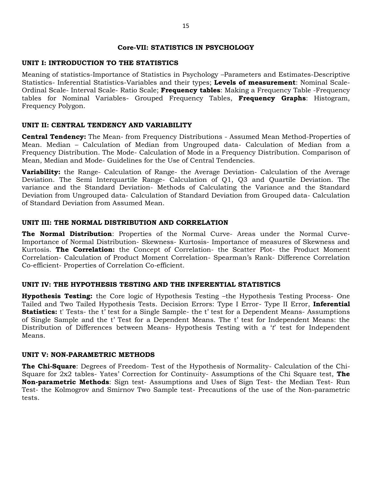#### **Core-VII: STATISTICS IN PSYCHOLOGY**

## **UNIT I: INTRODUCTION TO THE STATISTICS**

Meaning of statistics-Importance of Statistics in Psychology –Parameters and Estimates-Descriptive Statistics- Inferential Statistics-Variables and their types; **Levels of measurement**: Nominal Scale-Ordinal Scale- Interval Scale- Ratio Scale; **Frequency tables**: Making a Frequency Table -Frequency tables for Nominal Variables- Grouped Frequency Tables, **Frequency Graphs**: Histogram, Frequency Polygon.

#### **UNIT II: CENTRAL TENDENCY AND VARIABILITY**

**Central Tendency:** The Mean- from Frequency Distributions - Assumed Mean Method-Properties of Mean. Median – Calculation of Median from Ungrouped data- Calculation of Median from a Frequency Distribution. The Mode- Calculation of Mode in a Frequency Distribution. Comparison of Mean, Median and Mode- Guidelines for the Use of Central Tendencies.

**Variability:** the Range- Calculation of Range- the Average Deviation- Calculation of the Average Deviation. The Semi Interquartile Range- Calculation of Q1, Q3 and Quartile Deviation. The variance and the Standard Deviation- Methods of Calculating the Variance and the Standard Deviation from Ungrouped data- Calculation of Standard Deviation from Grouped data- Calculation of Standard Deviation from Assumed Mean.

#### **UNIT III: THE NORMAL DISTRIBUTION AND CORRELATION**

**The Normal Distribution**: Properties of the Normal Curve- Areas under the Normal Curve-Importance of Normal Distribution- Skewness- Kurtosis- Importance of measures of Skewness and Kurtosis. **The Correlation:** the Concept of Correlation- the Scatter Plot- the Product Moment Correlation- Calculation of Product Moment Correlation- Spearman"s Rank- Difference Correlation Co-efficient- Properties of Correlation Co-efficient.

#### **UNIT IV: THE HYPOTHESIS TESTING AND THE INFERENTIAL STATISTICS**

**Hypothesis Testing:** the Core logic of Hypothesis Testing –the Hypothesis Testing Process- One Tailed and Two Tailed Hypothesis Tests. Decision Errors: Type I Error- Type II Error, **Inferential Statistics:** t' Tests- the t' test for a Single Sample- the t' test for a Dependent Means- Assumptions of Single Sample and the t' Test for a Dependent Means. The t' test for Independent Means: the Distribution of Differences between Means- Hypothesis Testing with a "*t*" test for Independent Means.

#### **UNIT V: NON-PARAMETRIC METHODS**

**The Chi-Square**: Degrees of Freedom- Test of the Hypothesis of Normality- Calculation of the Chi-Square for 2x2 tables- Yates" Correction for Continuity- Assumptions of the Chi Square test, **The Non-parametric Methods**: Sign test- Assumptions and Uses of Sign Test- the Median Test- Run Test- the Kolmogrov and Smirnov Two Sample test- Precautions of the use of the Non-parametric tests.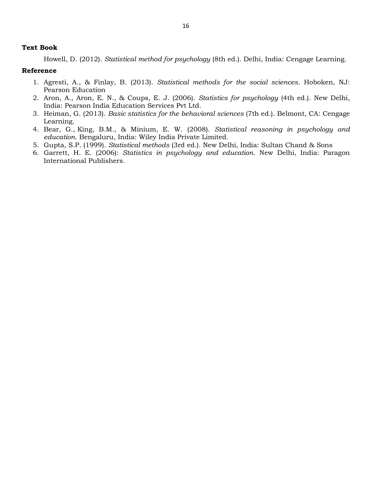#### **Text Book**

Howell, D. (2012). *Statistical method for psychology* (8th ed.). Delhi, India: Cengage Learning.

- 1. Agresti, A., & Finlay, B. (2013). *Statistical methods for the social sciences*. Hoboken, NJ: Pearson Education
- 2. Aron, A., Aron, E. N., & Coups, E. J. (2006). *Statistics for psychology* (4th ed.). New Delhi, India: Pearson India Education Services Pvt Ltd.
- 3. Heiman, G. (2013). *Basic statistics for the behavioral sciences* (7th ed.). Belmont, CA: Cengage Learning.
- 4. Bear, G., King, B.M., & Minium, E. W. (2008). *Statistical reasoning in psychology and education*. Bengaluru, India: Wiley India Private Limited.
- 5. Gupta, S.P. (1999). *Statistical methods* (3rd ed.). New Delhi, India: Sultan Chand & Sons
- 6. Garrett, H. E. (2006): *Statistics in psychology and education*. New Delhi, India: Paragon International Publishers.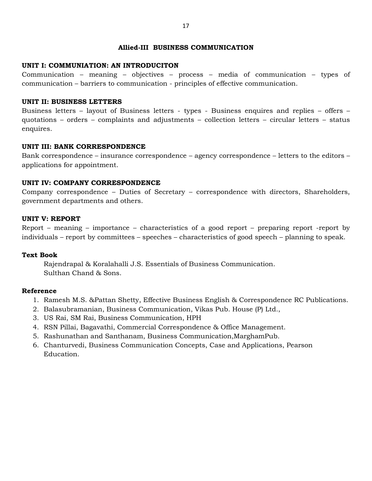#### **Allied-III BUSINESS COMMUNICATION**

## **UNIT I: COMMUNIATION: AN INTRODUCITON**

Communication – meaning – objectives – process – media of communication – types of communication – barriers to communication - principles of effective communication.

## **UNIT II: BUSINESS LETTERS**

Business letters – layout of Business letters - types - Business enquires and replies – offers – quotations – orders – complaints and adjustments – collection letters – circular letters – status enquires.

## **UNIT III: BANK CORRESPONDENCE**

Bank correspondence – insurance correspondence – agency correspondence – letters to the editors – applications for appointment.

## **UNIT IV: COMPANY CORRESPONDENCE**

Company correspondence – Duties of Secretary – correspondence with directors, Shareholders, government departments and others.

#### **UNIT V: REPORT**

Report – meaning – importance – characteristics of a good report – preparing report -report by individuals – report by committees – speeches – characteristics of good speech – planning to speak.

#### **Text Book**

Rajendrapal & Koralahalli J.S. Essentials of Business Communication. Sulthan Chand & Sons.

- 1. Ramesh M.S. &Pattan Shetty, Effective Business English & Correspondence RC Publications.
- 2. Balasubramanian, Business Communication, Vikas Pub. House (P) Ltd.,
- 3. US Rai, SM Rai, Business Communication, HPH
- 4. RSN Pillai, Bagavathi, Commercial Correspondence & Office Management.
- 5. Rashunathan and Santhanam, Business Communication,MarghamPub.
- 6. Chanturvedi, Business Communication Concepts, Case and Applications, Pearson Education.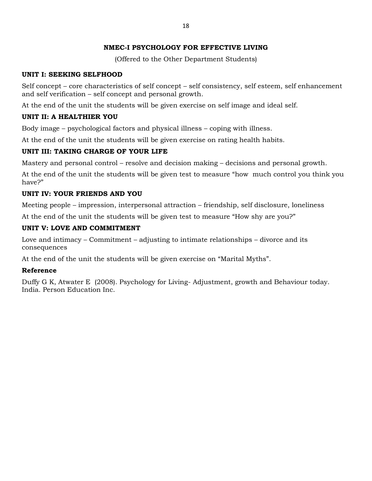## **NMEC-I PSYCHOLOGY FOR EFFECTIVE LIVING**

(Offered to the Other Department Students)

## **UNIT I: SEEKING SELFHOOD**

Self concept – core characteristics of self concept – self consistency, self esteem, self enhancement and self verification – self concept and personal growth.

At the end of the unit the students will be given exercise on self image and ideal self.

## **UNIT II: A HEALTHIER YOU**

Body image – psychological factors and physical illness – coping with illness.

At the end of the unit the students will be given exercise on rating health habits.

## **UNIT III: TAKING CHARGE OF YOUR LIFE**

Mastery and personal control – resolve and decision making – decisions and personal growth.

At the end of the unit the students will be given test to measure "how much control you think you have?"

## **UNIT IV: YOUR FRIENDS AND YOU**

Meeting people – impression, interpersonal attraction – friendship, self disclosure, loneliness

At the end of the unit the students will be given test to measure "How shy are you?"

## **UNIT V: LOVE AND COMMITMENT**

Love and intimacy – Commitment – adjusting to intimate relationships – divorce and its consequences

At the end of the unit the students will be given exercise on "Marital Myths".

## **Reference**

Duffy G K, Atwater E (2008). Psychology for Living- Adjustment, growth and Behaviour today. India. Person Education Inc.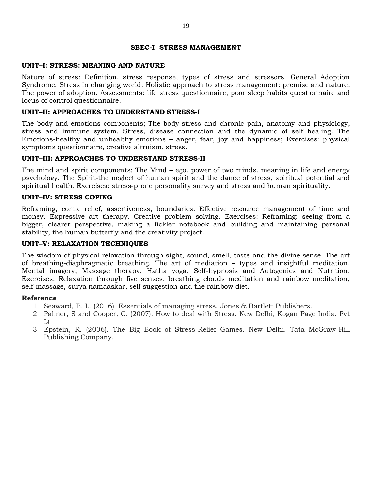#### **SBEC-I STRESS MANAGEMENT**

#### **UNIT–I: STRESS: MEANING AND NATURE**

Nature of stress: Definition, stress response, types of stress and stressors. General Adoption Syndrome, Stress in changing world. Holistic approach to stress management: premise and nature. The power of adoption. Assessments: life stress questionnaire, poor sleep habits questionnaire and locus of control questionnaire.

#### **UNIT–II: APPROACHES TO UNDERSTAND STRESS-I**

The body and emotions components; The body-stress and chronic pain, anatomy and physiology, stress and immune system. Stress, disease connection and the dynamic of self healing. The Emotions-healthy and unhealthy emotions – anger, fear, joy and happiness; Exercises: physical symptoms questionnaire, creative altruism, stress.

#### **UNIT–III: APPROACHES TO UNDERSTAND STRESS-II**

The mind and spirit components: The Mind – ego, power of two minds, meaning in life and energy psychology. The Spirit-the neglect of human spirit and the dance of stress, spiritual potential and spiritual health. Exercises: stress-prone personality survey and stress and human spirituality.

#### **UNIT–IV: STRESS COPING**

Reframing, comic relief, assertiveness, boundaries. Effective resource management of time and money. Expressive art therapy. Creative problem solving. Exercises: Reframing: seeing from a bigger, clearer perspective, making a fickler notebook and building and maintaining personal stability, the human butterfly and the creativity project.

#### **UNIT–V: RELAXATION TECHNIQUES**

The wisdom of physical relaxation through sight, sound, smell, taste and the divine sense. The art of breathing-diaphragmatic breathing. The art of mediation – types and insightful meditation. Mental imagery, Massage therapy, Hatha yoga, Self-hypnosis and Autogenics and Nutrition. Exercises: Relaxation through five senses, breathing clouds meditation and rainbow meditation, self-massage, surya namaaskar, self suggestion and the rainbow diet.

- 1. Seaward, B. L. (2016). Essentials of managing stress. Jones & Bartlett Publishers.
- 2. Palmer, S and Cooper, C. (2007). How to deal with Stress. New Delhi, Kogan Page India. Pvt Lt
- 3. Epstein, R. (2006). The Big Book of Stress-Relief Games. New Delhi. Tata McGraw-Hill Publishing Company.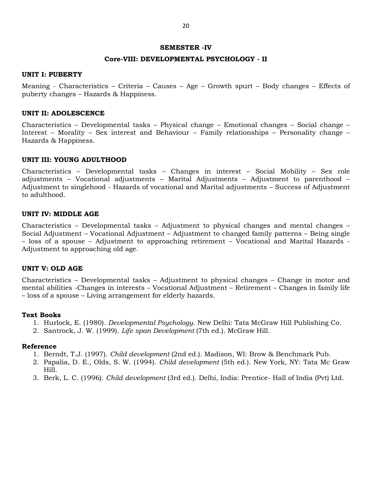#### **SEMESTER -IV**

#### **Core-VIII: DEVELOPMENTAL PSYCHOLOGY - II**

#### **UNIT I: PUBERTY**

Meaning - Characteristics – Criteria – Causes – Age – Growth spurt – Body changes – Effects of puberty changes – Hazards & Happiness.

#### **UNIT II: ADOLESCENCE**

Characteristics – Developmental tasks – Physical change – Emotional changes – Social change – Interest – Morality – Sex interest and Behaviour – Family relationships – Personality change – Hazards & Happiness.

#### **UNIT III: YOUNG ADULTHOOD**

Characteristics – Developmental tasks – Changes in interest – Social Mobility – Sex role adjustments – Vocational adjustments – Marital Adjustments – Adjustment to parenthood – Adjustment to singlehood - Hazards of vocational and Marital adjustments – Success of Adjustment to adulthood.

#### **UNIT IV: MIDDLE AGE**

Characteristics – Developmental tasks – Adjustment to physical changes and mental changes – Social Adjustment – Vocational Adjustment – Adjustment to changed family patterns – Being single – loss of a spouse – Adjustment to approaching retirement – Vocational and Marital Hazards - Adjustment to approaching old age.

#### **UNIT V: OLD AGE**

Characteristics – Developmental tasks – Adjustment to physical changes – Change in motor and mental abilities -Changes in interests – Vocational Adjustment – Retirement – Changes in family life – loss of a spouse – Living arrangement for elderly hazards.

#### **Text Books**

- 1. Hurlock, E. (1980). *Developmental Psychology*. New Delhi: Tata McGraw Hill Publishing Co.
- 2. Santrock, J. W. (1999). *Life span Development* (7th ed.). McGraw Hill.

- 1. Berndt, T.J. (1997). *Child development* (2nd ed.). Madison, WI: Brow & Benchmark Pub.
- 2. Papalia, D. E., Olds, S. W. (1994). *Child development* (5th ed.). New York, NY: Tata Mc Graw Hill.
- 3. Berk, L. C. (1996). *Child development* (3rd ed.). Delhi, India: Prentice- Hall of India (Pvt) Ltd.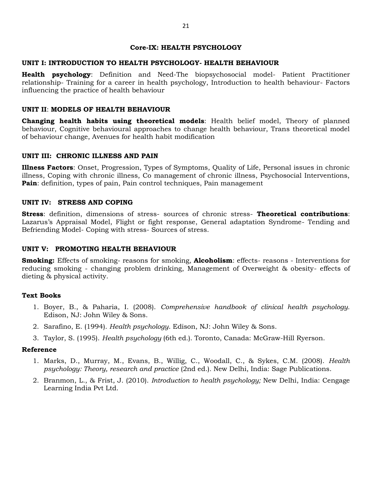#### **Core-IX: HEALTH PSYCHOLOGY**

#### **UNIT I: INTRODUCTION TO HEALTH PSYCHOLOGY- HEALTH BEHAVIOUR**

**Health psychology**: Definition and Need-The biopsychosocial model- Patient Practitioner relationship- Training for a career in health psychology, Introduction to health behaviour- Factors influencing the practice of health behaviour

#### **UNIT II**: **MODELS OF HEALTH BEHAVIOUR**

**Changing health habits using theoretical models**: Health belief model, Theory of planned behaviour, Cognitive behavioural approaches to change health behaviour, Trans theoretical model of behaviour change, Avenues for health habit modification

#### **UNIT III: CHRONIC ILLNESS AND PAIN**

**Illness Factors**: Onset, Progression, Types of Symptoms, Quality of Life, Personal issues in chronic illness, Coping with chronic illness, Co management of chronic illness, Psychosocial Interventions, **Pain**: definition, types of pain, Pain control techniques, Pain management

#### **UNIT IV: STRESS AND COPING**

**Stress**: definition, dimensions of stress- sources of chronic stress- **Theoretical contributions**: Lazarus's Appraisal Model, Flight or fight response, General adaptation Syndrome- Tending and Befriending Model- Coping with stress- Sources of stress.

#### **UNIT V: PROMOTING HEALTH BEHAVIOUR**

**Smoking:** Effects of smoking- reasons for smoking, **Alcoholism**: effects- reasons - Interventions for reducing smoking - changing problem drinking, Management of Overweight & obesity- effects of dieting & physical activity.

#### **Text Books**

- 1. Boyer, B., & Paharia, I. (2008). *Comprehensive handbook of clinical health psychology.*  Edison, NJ: John Wiley & Sons.
- 2. Sarafino, E. (1994). *Health psychology*. Edison, NJ: John Wiley & Sons.
- 3. Taylor, S. (1995). *Health psychology* (6th ed.). Toronto, Canada: McGraw-Hill Ryerson.

- 1. Marks, D., Murray, M., Evans, B., Willig, C., Woodall, C., & Sykes, C.M. (2008). *Health psychology: Theory, research and practice* (2nd ed.)*.* New Delhi, India: Sage Publications.
- 2. Branmon, L., & Frist, J. (2010). *Introduction to health psychology;* New Delhi, India: Cengage Learning India Pvt Ltd.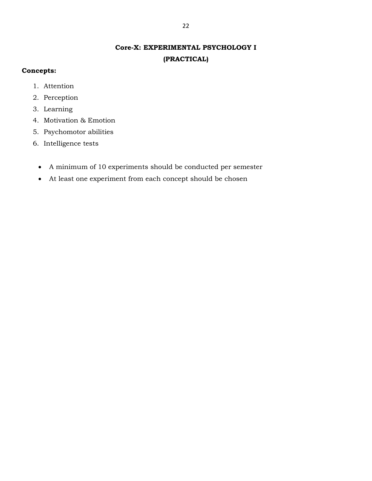## **Core-X: EXPERIMENTAL PSYCHOLOGY I (PRACTICAL)**

## **Concepts:**

- 1. Attention
- 2. Perception
- 3. Learning
- 4. Motivation & Emotion
- 5. Psychomotor abilities
- 6. Intelligence tests
	- A minimum of 10 experiments should be conducted per semester
	- At least one experiment from each concept should be chosen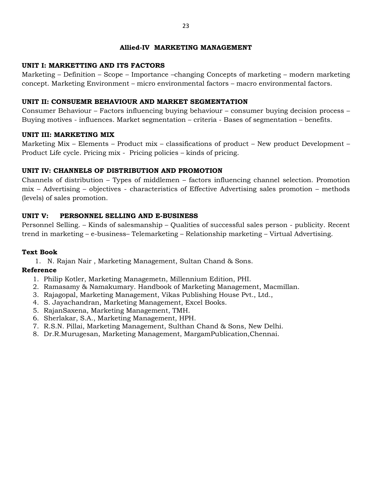#### **Allied-IV MARKETING MANAGEMENT**

## **UNIT I: MARKETTING AND ITS FACTORS**

Marketing – Definition – Scope – Importance –changing Concepts of marketing – modern marketing concept. Marketing Environment – micro environmental factors – macro environmental factors.

## **UNIT II: CONSUEMR BEHAVIOUR AND MARKET SEGMENTATION**

Consumer Behaviour – Factors influencing buying behaviour – consumer buying decision process – Buying motives - influences. Market segmentation – criteria - Bases of segmentation – benefits.

## **UNIT III: MARKETING MIX**

Marketing Mix – Elements – Product mix – classifications of product – New product Development – Product Life cycle. Pricing mix - Pricing policies – kinds of pricing.

## **UNIT IV: CHANNELS OF DISTRIBUTION AND PROMOTION**

Channels of distribution – Types of middlemen – factors influencing channel selection. Promotion mix – Advertising – objectives - characteristics of Effective Advertising sales promotion – methods (levels) of sales promotion.

## **UNIT V: PERSONNEL SELLING AND E-BUSINESS**

Personnel Selling. – Kinds of salesmanship – Qualities of successful sales person - publicity. Recent trend in marketing – e-business– Telemarketing – Relationship marketing – Virtual Advertising.

## **Text Book**

1. N. Rajan Nair , Marketing Management, Sultan Chand & Sons.

- 1. Philip Kotler, Marketing Managemetn, Millennium Edition, PHI.
- 2. Ramasamy & Namakumary. Handbook of Marketing Management, Macmillan.
- 3. Rajagopal, Marketing Management, Vikas Publishing House Pvt., Ltd.,
- 4. S. Jayachandran, Marketing Management, Excel Books.
- 5. RajanSaxena, Marketing Management, TMH.
- 6. Sherlakar, S.A., Marketing Management, HPH.
- 7. R.S.N. Pillai, Marketing Management, Sulthan Chand & Sons, New Delhi.
- 8. Dr.R.Murugesan, Marketing Management, MargamPublication,Chennai.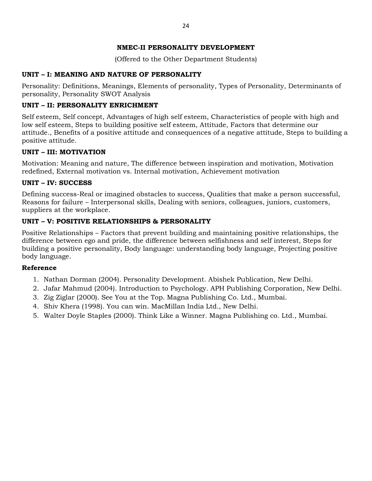## **NMEC-II PERSONALITY DEVELOPMENT**

(Offered to the Other Department Students)

## **UNIT – I: MEANING AND NATURE OF PERSONALITY**

Personality: Definitions, Meanings, Elements of personality, Types of Personality, Determinants of personality, Personality SWOT Analysis

## **UNIT – II: PERSONALITY ENRICHMENT**

Self esteem, Self concept, Advantages of high self esteem, Characteristics of people with high and low self esteem, Steps to building positive self esteem, Attitude, Factors that determine our attitude., Benefits of a positive attitude and consequences of a negative attitude, Steps to building a positive attitude.

## **UNIT – III: MOTIVATION**

Motivation: Meaning and nature, The difference between inspiration and motivation, Motivation redefined, External motivation vs. Internal motivation, Achievement motivation

## **UNIT – IV: SUCCESS**

Defining success-Real or imagined obstacles to success, Qualities that make a person successful, Reasons for failure – Interpersonal skills, Dealing with seniors, colleagues, juniors, customers, suppliers at the workplace.

## **UNIT – V: POSITIVE RELATIONSHIPS & PERSONALITY**

Positive Relationships – Factors that prevent building and maintaining positive relationships, the difference between ego and pride, the difference between selfishness and self interest, Steps for building a positive personality, Body language: understanding body language, Projecting positive body language.

- 1. Nathan Dorman (2004). Personality Development. Abishek Publication, New Delhi.
- 2. Jafar Mahmud (2004). Introduction to Psychology. APH Publishing Corporation, New Delhi.
- 3. Zig Ziglar (2000). See You at the Top. Magna Publishing Co. Ltd., Mumbai.
- 4. Shiv Khera (1998). You can win. MacMillan India Ltd., New Delhi.
- 5. Walter Doyle Staples (2000). Think Like a Winner. Magna Publishing co. Ltd., Mumbai.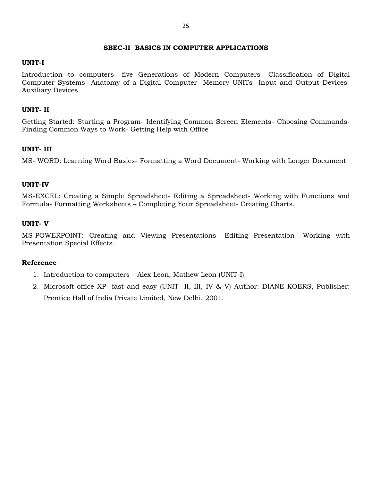#### **SBEC-II BASICS IN COMPUTER APPLICATIONS**

#### **UNIT-I**

Introduction to computers- five Generations of Modern Computers- Classification of Digital Computer Systems- Anatomy of a Digital Computer- Memory UNITs- Input and Output Devices-Auxiliary Devices.

#### **UNIT- II**

Getting Started: Starting a Program- Identifying Common Screen Elements- Choosing Commands-Finding Common Ways to Work- Getting Help with Office

#### **UNIT- III**

MS- WORD: Learning Word Basics- Formatting a Word Document- Working with Longer Document

#### **UNIT-IV**

MS-EXCEL: Creating a Simple Spreadsheet- Editing a Spreadsheet- Working with Functions and Formula- Formatting Worksheets – Completing Your Spreadsheet- Creating Charts.

## **UNIT- V**

MS-POWERPOINT: Creating and Viewing Presentations- Editing Presentation- Working with Presentation Special Effects.

- 1. Introduction to computers Alex Leon, Mathew Leon (UNIT-I)
- 2. Microsoft office XP- fast and easy (UNIT- II, III, IV & V) Author: DIANE KOERS, Publisher: Prentice Hall of India Private Limited, New Delhi, 2001.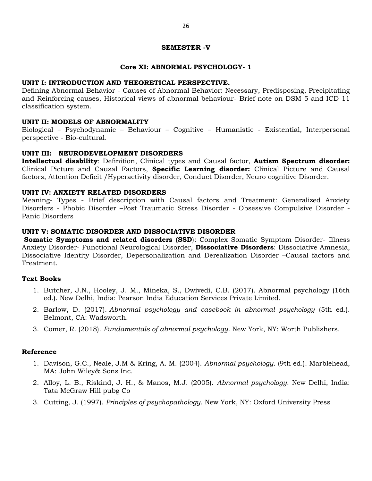#### **SEMESTER -V**

#### **Core XI: ABNORMAL PSYCHOLOGY- 1**

#### **UNIT I: INTRODUCTION AND THEORETICAL PERSPECTIVE.**

Defining Abnormal Behavior - Causes of Abnormal Behavior: Necessary, Predisposing, Precipitating and Reinforcing causes, Historical views of abnormal behaviour- Brief note on DSM 5 and ICD 11 classification system.

#### **UNIT II: MODELS OF ABNORMALITY**

Biological – Psychodynamic – Behaviour – Cognitive – Humanistic - Existential, Interpersonal perspective - Bio-cultural.

#### **UNIT III: NEURODEVELOPMENT DISORDERS**

**Intellectual disability**: Definition, Clinical types and Causal factor, **Autism Spectrum disorder:** Clinical Picture and Causal Factors, **Specific Learning disorder:** Clinical Picture and Causal factors, Attention Deficit /Hyperactivity disorder, Conduct Disorder, Neuro cognitive Disorder.

#### **UNIT IV: ANXIETY RELATED DISORDERS**

Meaning- Types - Brief description with Causal factors and Treatment: Generalized Anxiety Disorders - Phobic Disorder –Post Traumatic Stress Disorder - Obsessive Compulsive Disorder - Panic Disorders

#### **UNIT V: SOMATIC DISORDER AND DISSOCIATIVE DISORDER**

**Somatic Symptoms and related disorders (SSD)**: Complex Somatic Symptom Disorder- Illness Anxiety Disorder- Functional Neurological Disorder, **Dissociative Disorders**: Dissociative Amnesia, Dissociative Identity Disorder, Depersonalization and Derealization Disorder –Causal factors and Treatment.

#### **Text Books**

- 1. Butcher, J.N., Hooley, J. M., Mineka, S., Dwivedi, C.B. (2017). Abnormal psychology (16th ed.). New Delhi, India: Pearson India Education Services Private Limited.
- 2. Barlow, D. (2017). *Abnormal psychology and casebook in abnormal psychology* (5th ed.). Belmont, CA: Wadsworth.
- 3. Comer, R. (2018). *Fundamentals of abnormal psychology*. New York, NY: Worth Publishers.

- 1. Davison, G.C., Neale, J.M & Kring, A. M. (2004). *Abnormal psychology*. (9th ed.). Marblehead, MA: John Wiley& Sons Inc.
- 2. Alloy, L. B., Riskind, J. H., & Manos, M.J. (2005). *Abnormal psychology*. New Delhi, India: Tata McGraw Hill pubg Co
- 3. Cutting, J. (1997). *Principles of psychopathology*. New York, NY: Oxford University Press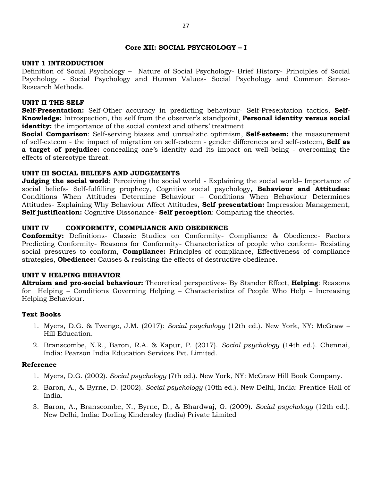## **Core XII: SOCIAL PSYCHOLOGY – I**

### **UNIT 1 INTRODUCTION**

Definition of Social Psychology – Nature of Social Psychology- Brief History- Principles of Social Psychology - Social Psychology and Human Values- Social Psychology and Common Sense-Research Methods.

### **UNIT II THE SELF**

**Self-Presentation:** Self-Other accuracy in predicting behaviour- Self-Presentation tactics, **Self-Knowledge:** Introspection, the self from the observer"s standpoint, **Personal identity versus social identity:** the importance of the social context and others' treatment

**Social Comparison**: Self-serving biases and unrealistic optimism, **Self-esteem:** the measurement of self-esteem - the impact of migration on self-esteem - gender differences and self-esteem, **Self as**  a target of prejudice: concealing one's identity and its impact on well-being - overcoming the effects of stereotype threat.

## **UNIT III SOCIAL BELIEFS AND JUDGEMENTS**

**Judging the social world**: Perceiving the social world - Explaining the social world– Importance of social beliefs- Self-fulfilling prophecy, Cognitive social psychology**, Behaviour and Attitudes:** Conditions When Attitudes Determine Behaviour – Conditions When Behaviour Determines Attitudes- Explaining Why Behaviour Affect Attitudes, **Self presentation:** Impression Management, **Self justification:** Cognitive Dissonance- **Self perception**: Comparing the theories.

## **UNIT IV CONFORMITY, COMPLIANCE AND OBEDIENCE**

**Conformity:** Definitions- Classic Studies on Conformity- Compliance & Obedience- Factors Predicting Conformity- Reasons for Conformity- Characteristics of people who conform- Resisting social pressures to conform, **Compliance:** Principles of compliance, Effectiveness of compliance strategies, **Obedience:** Causes & resisting the effects of destructive obedience.

#### **UNIT V HELPING BEHAVIOR**

**Altruism and pro-social behaviour:** Theoretical perspectives- By Stander Effect, **Helping**: Reasons for Helping – Conditions Governing Helping – Characteristics of People Who Help – Increasing Helping Behaviour.

#### **Text Books**

- 1. Myers, D.G. & Twenge, J.M. (2017): *Social psychology* (12th ed.). New York, NY: McGraw Hill Education.
- 2. Branscombe, N.R., Baron, R.A. & Kapur, P. (2017). *Social psychology* (14th ed.). Chennai, India: Pearson India Education Services Pvt. Limited.

- 1. Myers, D.G. (2002). *Social psychology* (7th ed.). New York, NY: McGraw Hill Book Company.
- 2. Baron, A., & Byrne, D. (2002). *Social psychology* (10th ed.). New Delhi, India: Prentice-Hall of India.
- 3. Baron, A., Branscombe, N., Byrne, D., & Bhardwaj, G. (2009). *Social psychology* (12th ed.). New Delhi, India: Dorling Kindersley (India) Private Limited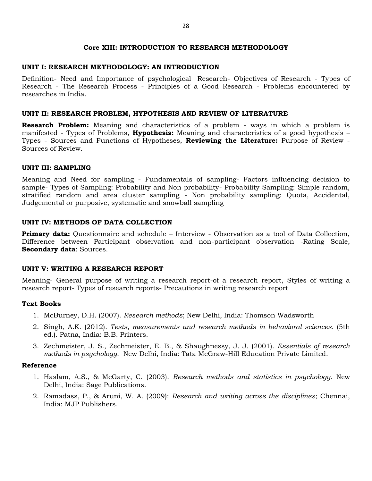#### **Core XIII: INTRODUCTION TO RESEARCH METHODOLOGY**

### **UNIT I: RESEARCH METHODOLOGY: AN INTRODUCTION**

Definition- Need and Importance of psychological Research- Objectives of Research - Types of Research - The Research Process - Principles of a Good Research - Problems encountered by researches in India.

## **UNIT II: RESEARCH PROBLEM, HYPOTHESIS AND REVIEW OF LITERATURE**

**Research Problem:** Meaning and characteristics of a problem - ways in which a problem is manifested - Types of Problems, **Hypothesis:** Meaning and characteristics of a good hypothesis – Types - Sources and Functions of Hypotheses, **Reviewing the Literature:** Purpose of Review - Sources of Review.

## **UNIT III: SAMPLING**

Meaning and Need for sampling - Fundamentals of sampling- Factors influencing decision to sample- Types of Sampling: Probability and Non probability- Probability Sampling: Simple random, stratified random and area cluster sampling - Non probability sampling: Quota, Accidental, Judgemental or purposive, systematic and snowball sampling

## **UNIT IV: METHODS OF DATA COLLECTION**

**Primary data:** Questionnaire and schedule – Interview - Observation as a tool of Data Collection, Difference between Participant observation and non-participant observation -Rating Scale, **Secondary data**: Sources.

## **UNIT V: WRITING A RESEARCH REPORT**

Meaning- General purpose of writing a research report-of a research report, Styles of writing a research report- Types of research reports- Precautions in writing research report

#### **Text Books**

- 1. McBurney, D.H. (2007). *Research methods*; New Delhi, India: Thomson Wadsworth
- 2. Singh, A.K. (2012). *Tests, measurements and research methods in behavioral sciences.* (5th ed.). Patna, India: B.B. Printers.
- 3. Zechmeister, J. S., Zechmeister, E. B., & Shaughnessy, J. J. (2001). *Essentials of research methods in psychology*. New Delhi, India: Tata McGraw-Hill Education Private Limited.

- 1. Haslam, A.S., & McGarty, C. (2003). *Research methods and statistics in psychology*. New Delhi, India: Sage Publications.
- 2. Ramadass, P., & Aruni, W. A. (2009): *Research and writing across the disciplines*; Chennai, India: MJP Publishers.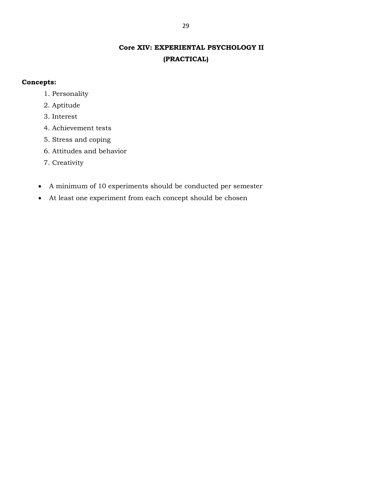## **Core XIV: EXPERIENTAL PSYCHOLOGY II (PRACTICAL)**

## **Concepts:**

- 1. Personality
- 2. Aptitude
- 3. Interest
- 4. Achievement tests
- 5. Stress and coping
- 6. Attitudes and behavior
- 7. Creativity
- A minimum of 10 experiments should be conducted per semester
- At least one experiment from each concept should be chosen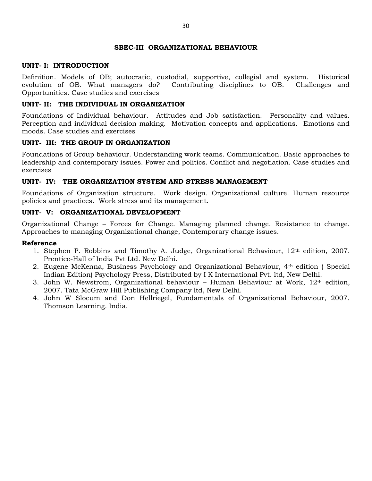#### **SBEC-III ORGANIZATIONAL BEHAVIOUR**

#### **UNIT- I: INTRODUCTION**

Definition. Models of OB; autocratic, custodial, supportive, collegial and system. Historical evolution of OB. What managers do? Contributing disciplines to OB. Challenges and Opportunities. Case studies and exercises

#### **UNIT- II: THE INDIVIDUAL IN ORGANIZATION**

Foundations of Individual behaviour. Attitudes and Job satisfaction. Personality and values. Perception and individual decision making. Motivation concepts and applications. Emotions and moods. Case studies and exercises

#### **UNIT- III: THE GROUP IN ORGANIZATION**

Foundations of Group behaviour. Understanding work teams. Communication. Basic approaches to leadership and contemporary issues. Power and politics. Conflict and negotiation. Case studies and exercises

#### **UNIT- IV: THE ORGANIZATION SYSTEM AND STRESS MANAGEMENT**

Foundations of Organization structure. Work design. Organizational culture. Human resource policies and practices. Work stress and its management.

#### **UNIT- V: ORGANIZATIONAL DEVELOPMENT**

Organizational Change – Forces for Change. Managing planned change. Resistance to change. Approaches to managing Organizational change, Contemporary change issues.

- 1. Stephen P. Robbins and Timothy A. Judge, Organizational Behaviour, 12th edition, 2007. Prentice-Hall of India Pvt Ltd. New Delhi.
- 2. Eugene McKenna, Business Psychology and Organizational Behaviour, 4th edition ( Special Indian Edition) Psychology Press, Distributed by I K International Pvt. ltd, New Delhi.
- 3. John W. Newstrom, Organizational behaviour Human Behaviour at Work, 12th edition, 2007. Tata McGraw Hill Publishing Company ltd, New Delhi.
- 4. John W Slocum and Don Hellriegel, Fundamentals of Organizational Behaviour, 2007. Thomson Learning. India.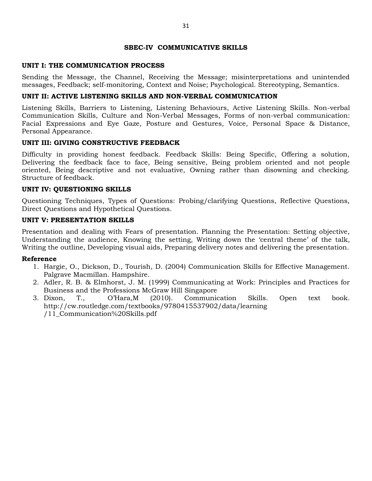#### **SBEC-IV COMMUNICATIVE SKILLS**

### **UNIT I: THE COMMUNICATION PROCESS**

Sending the Message, the Channel, Receiving the Message; misinterpretations and unintended messages, Feedback; self-monitoring, Context and Noise; Psychological. Stereotyping, Semantics.

## **UNIT II: ACTIVE LISTENING SKILLS AND NON-VERBAL COMMUNICATION**

Listening Skills, Barriers to Listening, Listening Behaviours, Active Listening Skills. Non-verbal Communication Skills, Culture and Non-Verbal Messages, Forms of non-verbal communication: Facial Expressions and Eye Gaze, Posture and Gestures, Voice, Personal Space & Distance, Personal Appearance.

#### **UNIT III: GIVING CONSTRUCTIVE FEEDBACK**

Difficulty in providing honest feedback. Feedback Skills: Being Specific, Offering a solution, Delivering the feedback face to face, Being sensitive, Being problem oriented and not people oriented, Being descriptive and not evaluative, Owning rather than disowning and checking. Structure of feedback.

## **UNIT IV: QUESTIONING SKILLS**

Questioning Techniques, Types of Questions: Probing/clarifying Questions, Reflective Questions, Direct Questions and Hypothetical Questions.

## **UNIT V: PRESENTATION SKILLS**

Presentation and dealing with Fears of presentation. Planning the Presentation: Setting objective, Understanding the audience, Knowing the setting, Writing down the "central theme" of the talk, Writing the outline, Developing visual aids, Preparing delivery notes and delivering the presentation.

- 1. Hargie, O., Dickson, D., Tourish, D. (2004) Communication Skills for Effective Management. Palgrave Macmillan. Hampshire.
- 2. Adler, R. B. & Elmhorst, J. M. (1999) Communicating at Work: Principles and Practices for Business and the Professions McGraw Hill Singapore
- 3. Dixon, T., O"Hara,M (2010). Communication Skills. Open text book. http://cw.routledge.com/textbooks/9780415537902/data/learning /11\_Communication%20Skills.pdf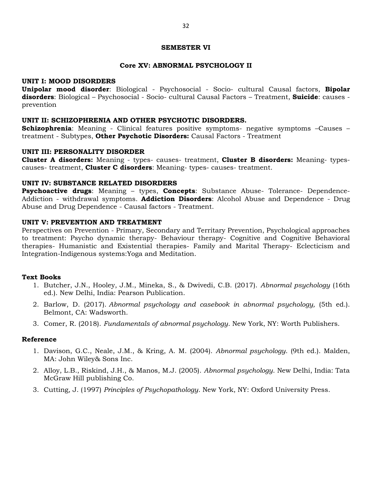#### **SEMESTER VI**

#### **Core XV: ABNORMAL PSYCHOLOGY II**

#### **UNIT I: MOOD DISORDERS**

**Unipolar mood disorder**: Biological - Psychosocial - Socio- cultural Causal factors, **Bipolar disorders**: Biological – Psychosocial - Socio- cultural Causal Factors – Treatment, **Suicide**: causes prevention

#### **UNIT II: SCHIZOPHRENIA AND OTHER PSYCHOTIC DISORDERS.**

**Schizophrenia**: Meaning - Clinical features positive symptoms- negative symptoms –Causes – treatment - Subtypes, **Other Psychotic Disorders:** Causal Factors - Treatment

#### **UNIT III: PERSONALITY DISORDER**

**Cluster A disorders:** Meaning - types- causes- treatment, **Cluster B disorders:** Meaning- typescauses- treatment, **Cluster C disorders**: Meaning- types- causes- treatment.

#### **UNIT IV: SUBSTANCE RELATED DISORDERS**

**Psychoactive drugs**: Meaning – types, **Concepts**: Substance Abuse- Tolerance- Dependence-Addiction - withdrawal symptoms. **Addiction Disorders**: Alcohol Abuse and Dependence - Drug Abuse and Drug Dependence - Causal factors - Treatment.

#### **UNIT V: PREVENTION AND TREATMENT**

Perspectives on Prevention - Primary, Secondary and Territary Prevention, Psychological approaches to treatment: Psycho dynamic therapy- Behaviour therapy- Cognitive and Cognitive Behavioral therapies- Humanistic and Existential therapies- Family and Marital Therapy- Eclecticism and Integration-Indigenous systems:Yoga and Meditation.

#### **Text Books**

- 1. Butcher, J.N., Hooley, J.M., Mineka, S., & Dwivedi, C.B. (2017). *Abnormal psychology* (16th ed.). New Delhi, India: Pearson Publication.
- 2. Barlow, D. (2017). *Abnormal psychology and casebook in abnormal psychology,* (5th ed.). Belmont, CA: Wadsworth.
- 3. Comer, R. (2018). *Fundamentals of abnormal psychology*. New York, NY: Worth Publishers.

- 1. Davison, G.C., Neale, J.M., & Kring, A. M. (2004). *Abnormal psychology*. (9th ed.). Malden, MA: John Wiley& Sons Inc.
- 2. Alloy, L.B., Riskind, J.H., & Manos, M.J. (2005). *Abnormal psychology*. New Delhi, India: Tata McGraw Hill publishing Co.
- 3. Cutting, J. (1997) *Principles of Psychopathology*. New York, NY: Oxford University Press.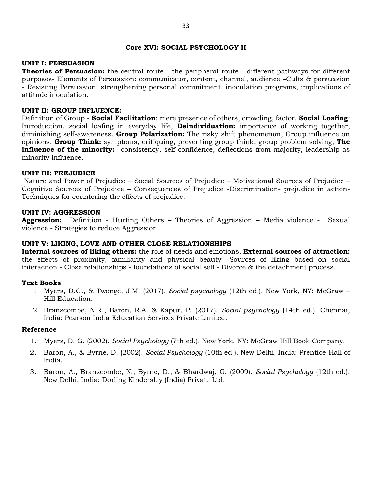#### **Core XVI: SOCIAL PSYCHOLOGY II**

#### **UNIT I: PERSUASION**

**Theories of Persuasion:** the central route - the peripheral route - different pathways for different purposes- Elements of Persuasion: communicator, content, channel, audience –Cults & persuasion - Resisting Persuasion: strengthening personal commitment, inoculation programs, implications of attitude inoculation.

#### **UNIT II: GROUP INFLUENCE:**

Definition of Group - **Social Facilitation**: mere presence of others, crowding, factor, **Social Loafing**: Introduction, social loafing in everyday life, **Deindividuation:** importance of working together, diminishing self-awareness, **Group Polarization:** The risky shift phenomenon, Group influence on opinions, **Group Think:** symptoms, critiquing, preventing group think, group problem solving, **The influence of the minority:** consistency, self-confidence, deflections from majority, leadership as minority influence.

#### **UNIT III: PREJUDICE**

Nature and Power of Prejudice – Social Sources of Prejudice – Motivational Sources of Prejudice – Cognitive Sources of Prejudice – Consequences of Prejudice -Discrimination- prejudice in action-Techniques for countering the effects of prejudice.

#### **UNIT IV: AGGRESSION**

**Aggression:** Definition - Hurting Others – Theories of Aggression – Media violence - Sexual violence - Strategies to reduce Aggression.

### **UNIT V: LIKING, LOVE AND OTHER CLOSE RELATIONSHIPS**

**Internal sources of liking others:** the role of needs and emotions, **External sources of attraction:** the effects of proximity, familiarity and physical beauty- Sources of liking based on social interaction - Close relationships - foundations of social self - Divorce & the detachment process.

#### **Text Books**

- 1. Myers, D.G., & Twenge, J.M. (2017). *Social psychology* (12th ed.). New York, NY: McGraw Hill Education.
- 2. Branscombe, N.R., Baron, R.A. & Kapur, P. (2017). *Social psychology* (14th ed.). Chennai, India: Pearson India Education Services Private Limited.

- 1. Myers, D. G. (2002). *Social Psychology* (7th ed.). New York, NY: McGraw Hill Book Company.
- 2. Baron, A., & Byrne, D. (2002). *Social Psychology* (10th ed.). New Delhi, India: Prentice-Hall of India.
- 3. Baron, A., Branscombe, N., Byrne, D., & Bhardwaj, G. (2009). *Social Psychology* (12th ed.). New Delhi, India: Dorling Kindersley (India) Private Ltd.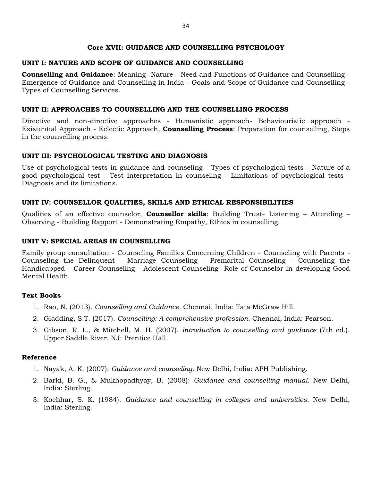#### **Core XVII: GUIDANCE AND COUNSELLING PSYCHOLOGY**

## **UNIT I: NATURE AND SCOPE OF GUIDANCE AND COUNSELLING**

**Counselling and Guidance**: Meaning- Nature - Need and Functions of Guidance and Counselling - Emergence of Guidance and Counselling in India - Goals and Scope of Guidance and Counselling - Types of Counselling Services.

## **UNIT II: APPROACHES TO COUNSELLING AND THE COUNSELLING PROCESS**

Directive and non-directive approaches - Humanistic approach- Behaviouristic approach - Existential Approach - Eclectic Approach, **Counselling Process**: Preparation for counselling, Steps in the counselling process.

## **UNIT III: PSYCHOLOGICAL TESTING AND DIAGNOSIS**

Use of psychological tests in guidance and counseling - Types of psychological tests - Nature of a good psychological test - Test interpretation in counseling - Limitations of psychological tests - Diagnosis and its limitations.

## **UNIT IV: COUNSELLOR QUALITIES, SKILLS AND ETHICAL RESPONSIBILITIES**

Qualities of an effective counselor, **Counsellor skills**: Building Trust- Listening – Attending – Observing - Building Rapport - Demonstrating Empathy, Ethics in counselling.

## **UNIT V: SPECIAL AREAS IN COUNSELLING**

Family group consultation - Counseling Families Concerning Children - Counseling with Parents - Counseling the Delinquent - Marriage Counseling - Premarital Counseling - Counseling the Handicapped - Career Counseling - Adolescent Counseling- Role of Counselor in developing Good Mental Health.

## **Text Books**

- 1. Rao, N. (2013). *Counselling and Guidance*. Chennai, India: Tata McGraw Hill.
- 2. Gladding, S.T. (2017). *Counselling: A comprehensive profession*. Chennai, India: Pearson.
- 3. Gibson, R. L., & Mitchell, M. H. (2007). *Introduction to counselling and guidance* (7th ed.). Upper Saddle River, NJ: Prentice Hall.

- 1. Nayak, A. K. (2007): *Guidance and counseling*. New Delhi, India: APH Publishing.
- 2. Barki, B. G., & Mukhopadhyay, B. (2008): *Guidance and counselling manual*. New Delhi, India: Sterling.
- 3. Kochhar, S. K. (1984). *Guidance and counselling in colleges and universities*. New Delhi, India: Sterling.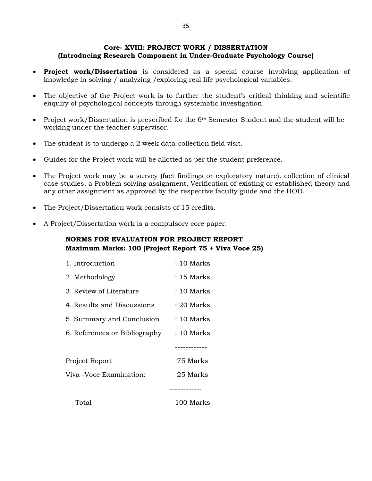## **Core- XVIII: PROJECT WORK / DISSERTATION (Introducing Research Component in Under-Graduate Psychology Course)**

- **Project work/Dissertation** is considered as a special course involving application of knowledge in solving / analyzing /exploring real life psychological variables.
- The objective of the Project work is to further the student's critical thinking and scientific enquiry of psychological concepts through systematic investigation.
- Project work/Dissertation is prescribed for the 6<sup>th</sup> Semester Student and the student will be working under the teacher supervisor.
- The student is to undergo a 2 week data-collection field visit.
- Guides for the Project work will be allotted as per the student preference.
- The Project work may be a survey (fact findings or exploratory nature). collection of clinical case studies, a Problem solving assignment, Verification of existing or established theory and any other assignment as approved by the respective faculty guide and the HOD.
- The Project/Dissertation work consists of 15 credits.
- A Project/Dissertation work is a compulsory core paper.

## **NORMS FOR EVALUATION FOR PROJECT REPORT Maximum Marks: 100 (Project Report 75 + Viva Voce 25)**

| 1. Introduction               | : 10 Marks |
|-------------------------------|------------|
| 2. Methodology                | : 15 Marks |
| 3. Review of Literature       | : 10 Marks |
| 4. Results and Discussions    | : 20 Marks |
| 5. Summary and Conclusion     | : 10 Marks |
| 6. References or Bibliography | : 10 Marks |
|                               |            |
| Project Report                | 75 Marks   |
| Viva -Voce Examination:       | 25 Marks   |
|                               |            |
| Total                         | 100 Marks  |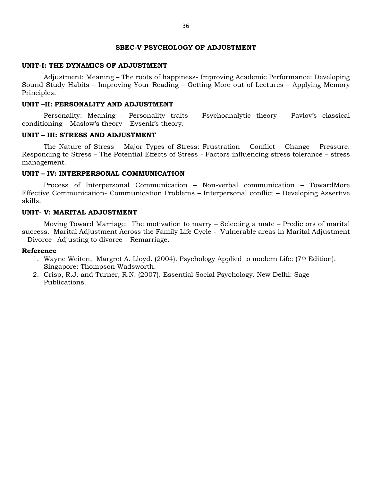#### **SBEC-V PSYCHOLOGY OF ADJUSTMENT**

#### **UNIT-I: THE DYNAMICS OF ADJUSTMENT**

Adjustment: Meaning – The roots of happiness- Improving Academic Performance: Developing Sound Study Habits – Improving Your Reading – Getting More out of Lectures – Applying Memory Principles.

#### **UNIT –II: PERSONALITY AND ADJUSTMENT**

Personality: Meaning - Personality traits – Psychoanalytic theory – Pavlov's classical conditioning – Maslow's theory – Eysenk's theory.

#### **UNIT – III: STRESS AND ADJUSTMENT**

The Nature of Stress – Major Types of Stress: Frustration – Conflict – Change – Pressure. Responding to Stress – The Potential Effects of Stress - Factors influencing stress tolerance – stress management.

## **UNIT – IV: INTERPERSONAL COMMUNICATION**

Process of Interpersonal Communication – Non-verbal communication – TowardMore Effective Communication- Communication Problems – Interpersonal conflict – Developing Assertive skills.

#### **UNIT- V: MARITAL ADJUSTMENT**

Moving Toward Marriage: The motivation to marry – Selecting a mate – Predictors of marital success. Marital Adjustment Across the Family Life Cycle - Vulnerable areas in Marital Adjustment – Divorce– Adjusting to divorce – Remarriage.

- 1. Wayne Weiten, Margret A. Lloyd. (2004). Psychology Applied to modern Life: (7<sup>th</sup> Edition). Singapore: Thompson Wadsworth.
- 2. Crisp, R.J. and Turner, R.N. (2007). Essential Social Psychology. New Delhi: Sage Publications.